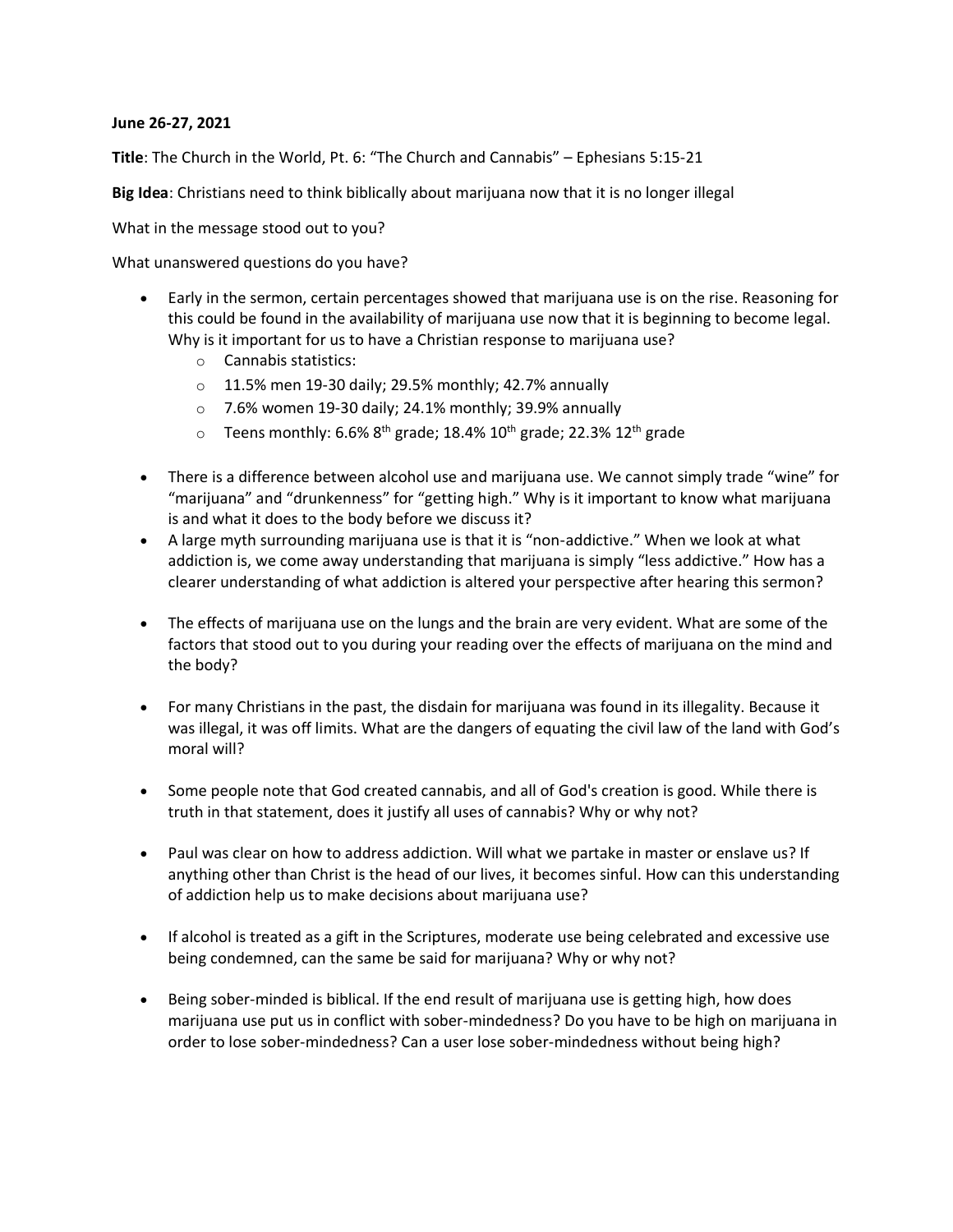## **June 26-27, 2021**

**Title**: The Church in the World, Pt. 6: "The Church and Cannabis" – Ephesians 5:15-21

**Big Idea**: Christians need to think biblically about marijuana now that it is no longer illegal

What in the message stood out to you?

What unanswered questions do you have?

- Early in the sermon, certain percentages showed that marijuana use is on the rise. Reasoning for this could be found in the availability of marijuana use now that it is beginning to become legal. Why is it important for us to have a Christian response to marijuana use?
	- o Cannabis statistics:
	- $\circ$  11.5% men 19-30 daily; 29.5% monthly; 42.7% annually
	- $\circ$  7.6% women 19-30 daily; 24.1% monthly; 39.9% annually
	- $\degree$  Teens monthly: 6.6% 8<sup>th</sup> grade; 18.4% 10<sup>th</sup> grade; 22.3% 12<sup>th</sup> grade
- There is a difference between alcohol use and marijuana use. We cannot simply trade "wine" for "marijuana" and "drunkenness" for "getting high." Why is it important to know what marijuana is and what it does to the body before we discuss it?
- A large myth surrounding marijuana use is that it is "non-addictive." When we look at what addiction is, we come away understanding that marijuana is simply "less addictive." How has a clearer understanding of what addiction is altered your perspective after hearing this sermon?
- The effects of marijuana use on the lungs and the brain are very evident. What are some of the factors that stood out to you during your reading over the effects of marijuana on the mind and the body?
- For many Christians in the past, the disdain for marijuana was found in its illegality. Because it was illegal, it was off limits. What are the dangers of equating the civil law of the land with God's moral will?
- Some people note that God created cannabis, and all of God's creation is good. While there is truth in that statement, does it justify all uses of cannabis? Why or why not?
- Paul was clear on how to address addiction. Will what we partake in master or enslave us? If anything other than Christ is the head of our lives, it becomes sinful. How can this understanding of addiction help us to make decisions about marijuana use?
- If alcohol is treated as a gift in the Scriptures, moderate use being celebrated and excessive use being condemned, can the same be said for marijuana? Why or why not?
- Being sober-minded is biblical. If the end result of marijuana use is getting high, how does marijuana use put us in conflict with sober-mindedness? Do you have to be high on marijuana in order to lose sober-mindedness? Can a user lose sober-mindedness without being high?